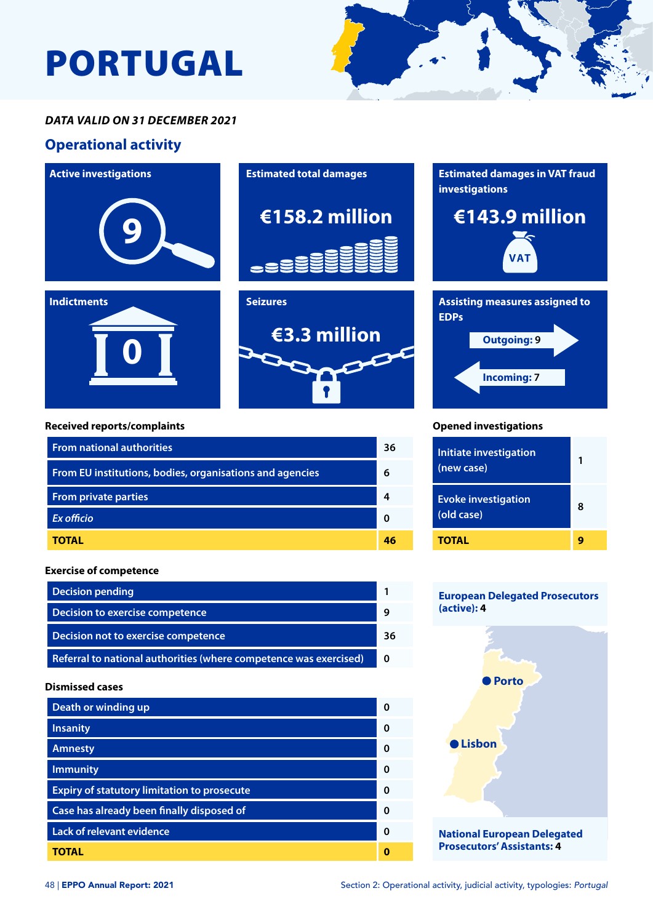# PORTUGAL



## **Operational activity**



#### **Dismissed cases**

| Death or winding up                                |   |
|----------------------------------------------------|---|
| <b>Insanity</b>                                    | O |
| <b>Amnesty</b>                                     | ŋ |
| <b>Immunity</b>                                    | O |
| <b>Expiry of statutory limitation to prosecute</b> | ŋ |
| Case has already been finally disposed of          | ŋ |
| Lack of relevant evidence                          | O |
| TOTAL                                              |   |

#### **National European Delegated Prosecutors' Assistants: 4**

**Lisbon**